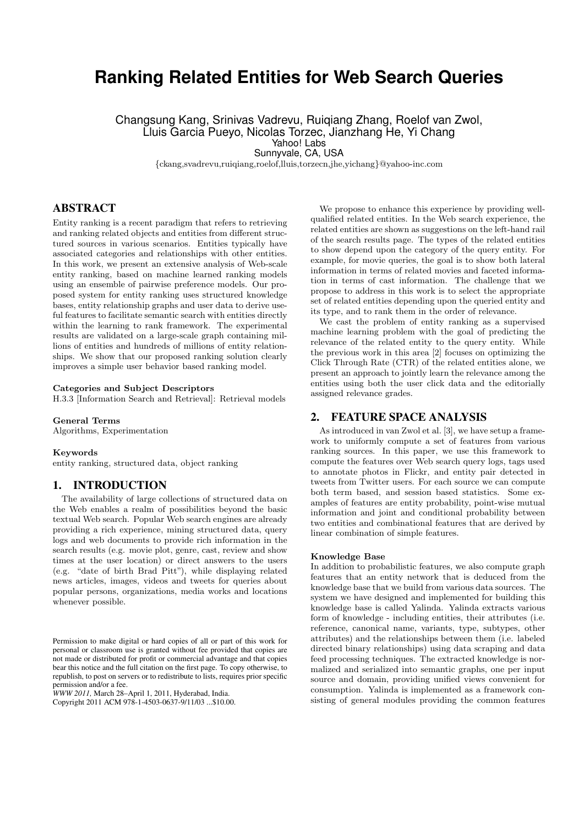# **Ranking Related Entities for Web Search Queries**

Changsung Kang, Srinivas Vadrevu, Ruiqiang Zhang, Roelof van Zwol, Lluis Garcia Pueyo, Nicolas Torzec, Jianzhang He, Yi Chang Yahoo! Labs

Sunnyvale, CA, USA

{ckang,svadrevu,ruiqiang,roelof,lluis,torzecn,jhe,yichang}@yahoo-inc.com

## ABSTRACT

Entity ranking is a recent paradigm that refers to retrieving and ranking related objects and entities from different structured sources in various scenarios. Entities typically have associated categories and relationships with other entities. In this work, we present an extensive analysis of Web-scale entity ranking, based on machine learned ranking models using an ensemble of pairwise preference models. Our proposed system for entity ranking uses structured knowledge bases, entity relationship graphs and user data to derive useful features to facilitate semantic search with entities directly within the learning to rank framework. The experimental results are validated on a large-scale graph containing millions of entities and hundreds of millions of entity relationships. We show that our proposed ranking solution clearly improves a simple user behavior based ranking model.

#### Categories and Subject Descriptors

H.3.3 [Information Search and Retrieval]: Retrieval models

General Terms Algorithms, Experimentation

#### Keywords

entity ranking, structured data, object ranking

### 1. INTRODUCTION

The availability of large collections of structured data on the Web enables a realm of possibilities beyond the basic textual Web search. Popular Web search engines are already providing a rich experience, mining structured data, query logs and web documents to provide rich information in the search results (e.g. movie plot, genre, cast, review and show times at the user location) or direct answers to the users (e.g. "date of birth Brad Pitt"), while displaying related news articles, images, videos and tweets for queries about popular persons, organizations, media works and locations whenever possible.

*WWW 2011,* March 28–April 1, 2011, Hyderabad, India.

Copyright 2011 ACM 978-1-4503-0637-9/11/03 ...\$10.00.

We propose to enhance this experience by providing wellqualified related entities. In the Web search experience, the related entities are shown as suggestions on the left-hand rail of the search results page. The types of the related entities to show depend upon the category of the query entity. For example, for movie queries, the goal is to show both lateral information in terms of related movies and faceted information in terms of cast information. The challenge that we propose to address in this work is to select the appropriate set of related entities depending upon the queried entity and its type, and to rank them in the order of relevance.

We cast the problem of entity ranking as a supervised machine learning problem with the goal of predicting the relevance of the related entity to the query entity. While the previous work in this area [2] focuses on optimizing the Click Through Rate (CTR) of the related entities alone, we present an approach to jointly learn the relevance among the entities using both the user click data and the editorially assigned relevance grades.

### 2. FEATURE SPACE ANALYSIS

As introduced in van Zwol et al. [3], we have setup a framework to uniformly compute a set of features from various ranking sources. In this paper, we use this framework to compute the features over Web search query logs, tags used to annotate photos in Flickr, and entity pair detected in tweets from Twitter users. For each source we can compute both term based, and session based statistics. Some examples of features are entity probability, point-wise mutual information and joint and conditional probability between two entities and combinational features that are derived by linear combination of simple features.

### Knowledge Base

In addition to probabilistic features, we also compute graph features that an entity network that is deduced from the knowledge base that we build from various data sources. The system we have designed and implemented for building this knowledge base is called Yalinda. Yalinda extracts various form of knowledge - including entities, their attributes (i.e. reference, canonical name, variants, type, subtypes, other attributes) and the relationships between them (i.e. labeled directed binary relationships) using data scraping and data feed processing techniques. The extracted knowledge is normalized and serialized into semantic graphs, one per input source and domain, providing unified views convenient for consumption. Yalinda is implemented as a framework consisting of general modules providing the common features

Permission to make digital or hard copies of all or part of this work for personal or classroom use is granted without fee provided that copies are not made or distributed for profit or commercial advantage and that copies bear this notice and the full citation on the first page. To copy otherwise, to republish, to post on servers or to redistribute to lists, requires prior specific permission and/or a fee.